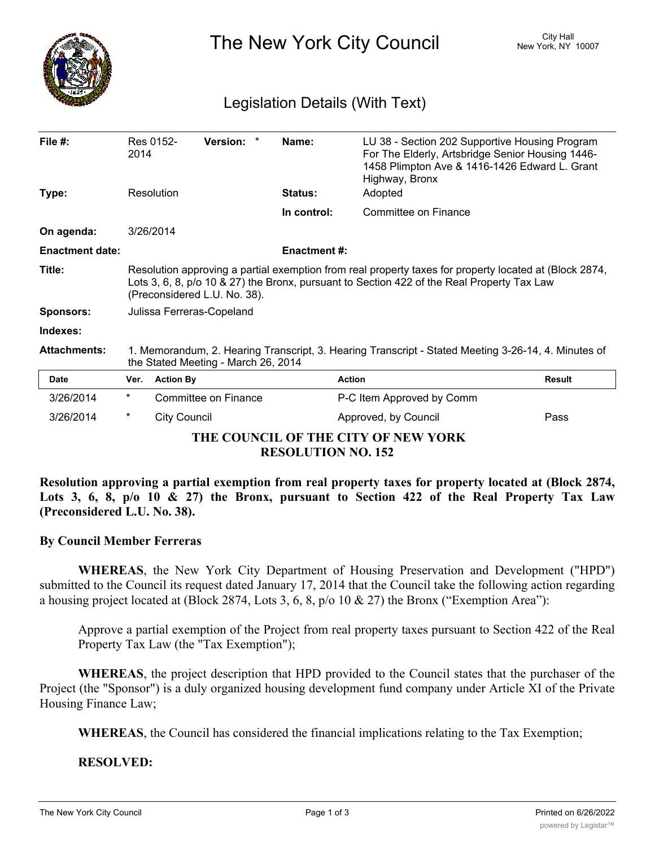

The New York City Council New York, NY 10007

## Legislation Details (With Text)

| File $#$ :                          | 2014                                                                                                                                                                                                                                 | Res 0152-           | Version: *           |  | Name:               | LU 38 - Section 202 Supportive Housing Program<br>For The Elderly, Artsbridge Senior Housing 1446-<br>1458 Plimpton Ave & 1416-1426 Edward L. Grant<br>Highway, Bronx |               |
|-------------------------------------|--------------------------------------------------------------------------------------------------------------------------------------------------------------------------------------------------------------------------------------|---------------------|----------------------|--|---------------------|-----------------------------------------------------------------------------------------------------------------------------------------------------------------------|---------------|
| Type:                               |                                                                                                                                                                                                                                      | Resolution          |                      |  | Status:             | Adopted                                                                                                                                                               |               |
|                                     |                                                                                                                                                                                                                                      |                     |                      |  | In control:         | Committee on Finance                                                                                                                                                  |               |
| On agenda:                          | 3/26/2014                                                                                                                                                                                                                            |                     |                      |  |                     |                                                                                                                                                                       |               |
| <b>Enactment date:</b>              |                                                                                                                                                                                                                                      |                     |                      |  | <b>Enactment #:</b> |                                                                                                                                                                       |               |
| Title:                              | Resolution approving a partial exemption from real property taxes for property located at (Block 2874,<br>Lots 3, 6, 8, p/o 10 & 27) the Bronx, pursuant to Section 422 of the Real Property Tax Law<br>(Preconsidered L.U. No. 38). |                     |                      |  |                     |                                                                                                                                                                       |               |
| <b>Sponsors:</b>                    | Julissa Ferreras-Copeland                                                                                                                                                                                                            |                     |                      |  |                     |                                                                                                                                                                       |               |
| Indexes:                            |                                                                                                                                                                                                                                      |                     |                      |  |                     |                                                                                                                                                                       |               |
| <b>Attachments:</b>                 | 1. Memorandum, 2. Hearing Transcript, 3. Hearing Transcript - Stated Meeting 3-26-14, 4. Minutes of<br>the Stated Meeting - March 26, 2014                                                                                           |                     |                      |  |                     |                                                                                                                                                                       |               |
| <b>Date</b>                         | Ver.                                                                                                                                                                                                                                 | <b>Action By</b>    |                      |  |                     | <b>Action</b>                                                                                                                                                         | <b>Result</b> |
| 3/26/2014                           | $^\star$                                                                                                                                                                                                                             |                     | Committee on Finance |  |                     | P-C Item Approved by Comm                                                                                                                                             |               |
| 3/26/2014                           | *                                                                                                                                                                                                                                    | <b>City Council</b> |                      |  |                     | Approved, by Council                                                                                                                                                  | Pass          |
| THE COUNCIL OF THE CITY OF NEW YORK |                                                                                                                                                                                                                                      |                     |                      |  |                     |                                                                                                                                                                       |               |

**RESOLUTION NO. 152**

**Resolution approving a partial exemption from real property taxes for property located at (Block 2874,** Lots 3, 6, 8,  $p/a$  10 & 27) the Bronx, pursuant to Section 422 of the Real Property Tax Law **(Preconsidered L.U. No. 38).**

## **By Council Member Ferreras**

**WHEREAS**, the New York City Department of Housing Preservation and Development ("HPD") submitted to the Council its request dated January 17, 2014 that the Council take the following action regarding a housing project located at (Block 2874, Lots 3, 6, 8, p/o 10 & 27) the Bronx ("Exemption Area"):

Approve a partial exemption of the Project from real property taxes pursuant to Section 422 of the Real Property Tax Law (the "Tax Exemption");

**WHEREAS**, the project description that HPD provided to the Council states that the purchaser of the Project (the "Sponsor") is a duly organized housing development fund company under Article XI of the Private Housing Finance Law;

**WHEREAS**, the Council has considered the financial implications relating to the Tax Exemption;

## **RESOLVED:**